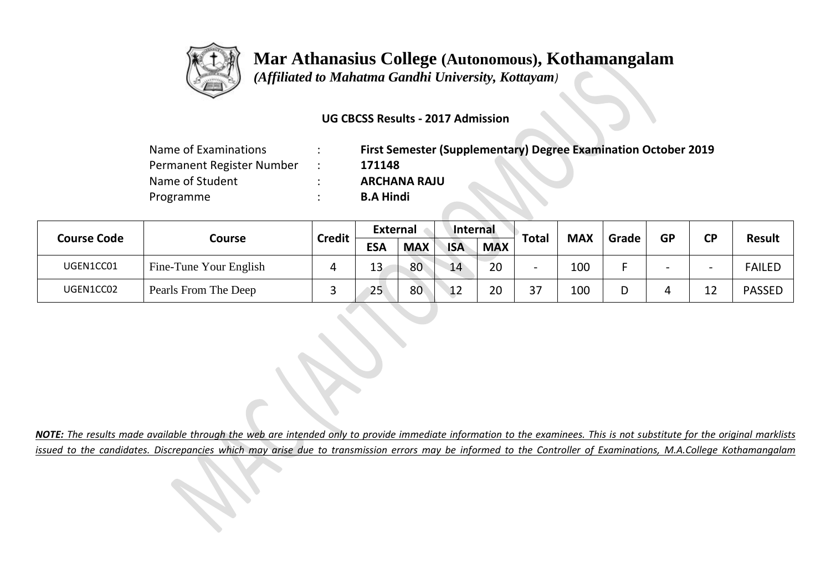

## **Mar Athanasius College (Autonomous), Kothamangalam**

 *(Affiliated to Mahatma Gandhi University, Kottayam)*

## **UG CBCSS Results - 2017 Admission**

| Name of Examinations      | First Semester (Supplementary) Degree Examination October 2019 |
|---------------------------|----------------------------------------------------------------|
| Permanent Register Number | 171148                                                         |
| Name of Student           | <b>ARCHANA RAJU</b>                                            |
| Programme                 | <b>B.A Hindi</b>                                               |

| <b>Course Code</b> | Course                 | <b>Credit</b> | <b>External</b> |            | Internal   |            |           |            |       |                          |                          |               |
|--------------------|------------------------|---------------|-----------------|------------|------------|------------|-----------|------------|-------|--------------------------|--------------------------|---------------|
|                    |                        |               | <b>ESA</b>      | <b>MAX</b> | <b>ISA</b> | <b>MAX</b> | Total     | <b>MAX</b> | Grade | <b>GP</b>                | <b>CP</b>                | <b>Result</b> |
| UGEN1CC01          | Fine-Tune Your English |               | 13<br>⊥J        | 80         | 14         | 20         |           | 100        |       | $\overline{\phantom{0}}$ | $\overline{\phantom{0}}$ | <b>FAILED</b> |
| UGEN1CC02          | Pearls From The Deep   |               | 25              | 80         | 12         | 20         | 27<br>، ب | 100        | D     |                          | 1 า<br>ᅩᄼ                | <b>PASSED</b> |

*NOTE: The results made available through the web are intended only to provide immediate information to the examinees. This is not substitute for the original marklists issued to the candidates. Discrepancies which may arise due to transmission errors may be informed to the Controller of Examinations, M.A.College Kothamangalam*